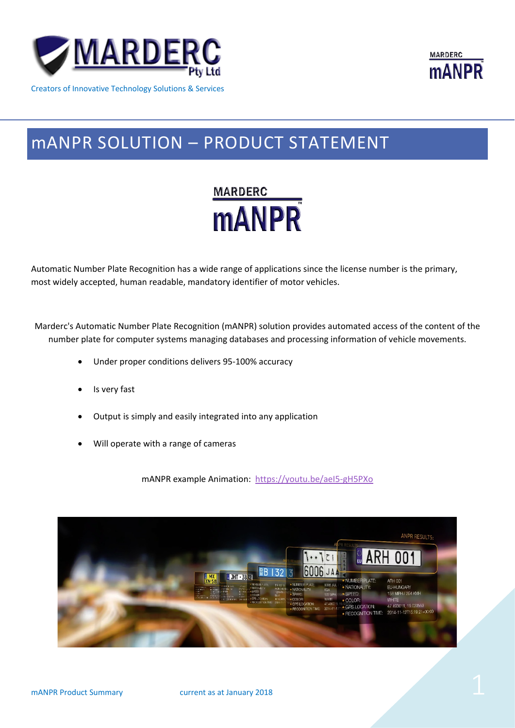

Creators of Innovative Technology Solutions & Services



# mANPR SOLUTION – PRODUCT STATEMENT



Automatic Number Plate Recognition has a wide range of applications since the license number is the primary, most widely accepted, human readable, mandatory identifier of motor vehicles.

Marderc's Automatic Number Plate Recognition (mANPR) solution provides automated access of the content of the number plate for computer systems managing databases and processing information of vehicle movements.

- Under proper conditions delivers 95-100% accuracy
- Is very fast
- Output is simply and easily integrated into any application
- Will operate with a range of cameras

mANPR example Animation: <https://youtu.be/aeI5-gH5PXo>

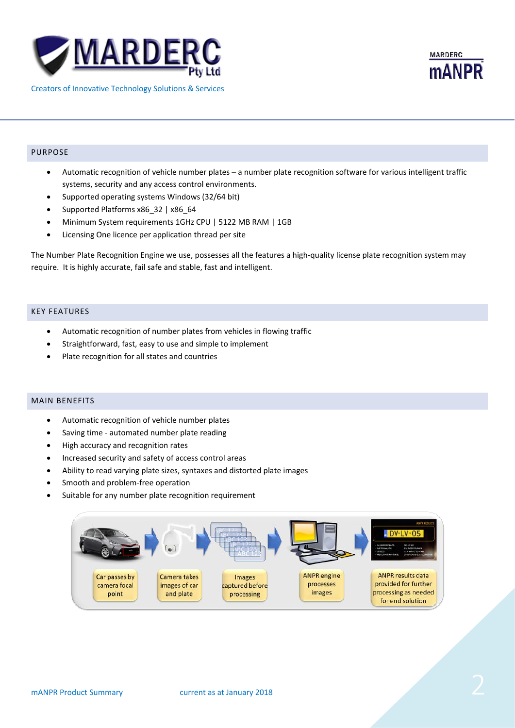



## PURPOSE

- Automatic recognition of vehicle number plates a number plate recognition software for various intelligent traffic systems, security and any access control environments.
- Supported operating systems Windows (32/64 bit)
- Supported Platforms x86\_32 | x86\_64
- Minimum System requirements 1GHz CPU | 5122 MB RAM | 1GB
- Licensing One licence per application thread per site

The Number Plate Recognition Engine we use, possesses all the features a high-quality license plate recognition system may require. It is highly accurate, fail safe and stable, fast and intelligent.

# KEY FEATURES

- Automatic recognition of number plates from vehicles in flowing traffic
- Straightforward, fast, easy to use and simple to implement
- Plate recognition for all states and countries

## MAIN BENEFITS

- Automatic recognition of vehicle number plates
- Saving time automated number plate reading
- High accuracy and recognition rates
- Increased security and safety of access control areas
- Ability to read varying plate sizes, syntaxes and distorted plate images
- Smooth and problem-free operation
- Suitable for any number plate recognition requirement

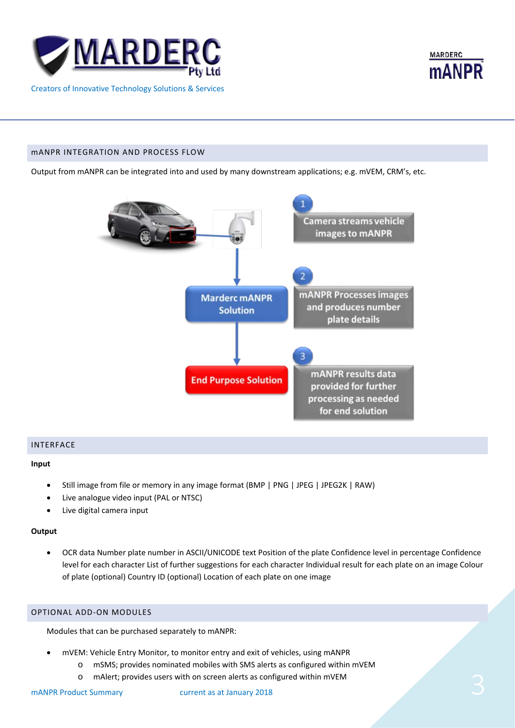



## mANPR INTEGRATION AND PROCESS FLOW

Output from mANPR can be integrated into and used by many downstream applications; e.g. mVEM, CRM's, etc.



# INTERFACE

#### **Input**

- Still image from file or memory in any image format (BMP | PNG | JPEG | JPEG2K | RAW)
- Live analogue video input (PAL or NTSC)
- Live digital camera input

#### **Output**

• OCR data Number plate number in ASCII/UNICODE text Position of the plate Confidence level in percentage Confidence level for each character List of further suggestions for each character Individual result for each plate on an image Colour of plate (optional) Country ID (optional) Location of each plate on one image

# OPTIONAL ADD-ON MODULES

Modules that can be purchased separately to mANPR:

- mVEM: Vehicle Entry Monitor, to monitor entry and exit of vehicles, using mANPR
	- o mSMS; provides nominated mobiles with SMS alerts as configured within mVEM
- o mAlert; provides users with on screen alerts as configured within mVEM<br>mANPR Product Summary current as at January 2018